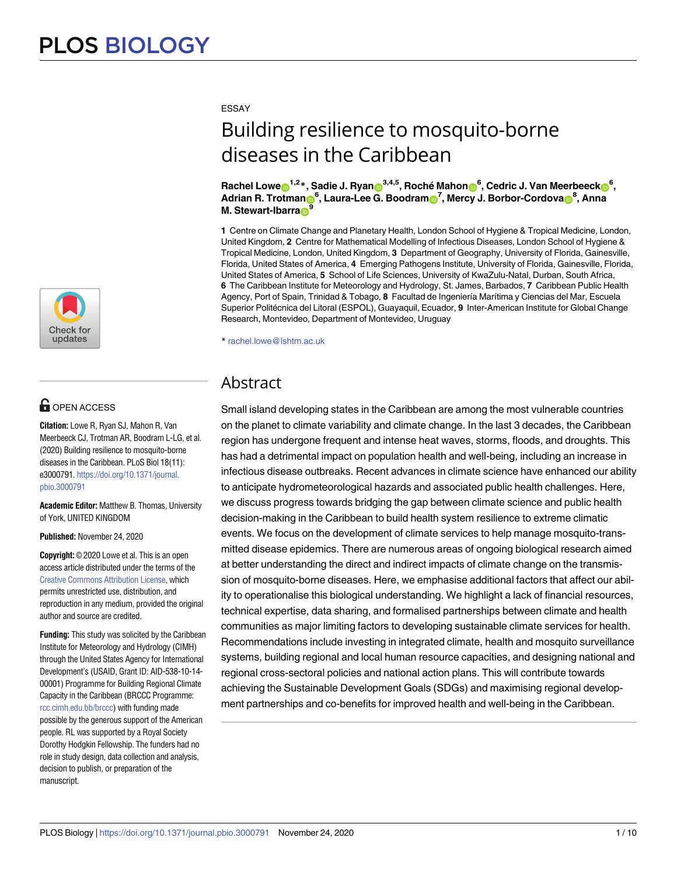

# $\blacksquare$  OPEN ACCESS

**Citation:** Lowe R, Ryan SJ, Mahon R, Van Meerbeeck CJ, Trotman AR, Boodram L-LG, et al. (2020) Building resilience to mosquito-borne diseases in the Caribbean. PLoS Biol 18(11): e3000791. [https://doi.org/10.1371/journal.](https://doi.org/10.1371/journal.pbio.3000791) [pbio.3000791](https://doi.org/10.1371/journal.pbio.3000791)

**Academic Editor:** Matthew B. Thomas, University of York, UNITED KINGDOM

**Published:** November 24, 2020

**Copyright:** © 2020 Lowe et al. This is an open access article distributed under the terms of the Creative Commons [Attribution](http://creativecommons.org/licenses/by/4.0/) License, which permits unrestricted use, distribution, and reproduction in any medium, provided the original author and source are credited.

**Funding:** This study was solicited by the Caribbean Institute for Meteorology and Hydrology (CIMH) through the United States Agency for International Development's (USAID, Grant ID: AID-538-10-14- 00001) Programme for Building Regional Climate Capacity in the Caribbean (BRCCC Programme: [rcc.cimh.edu.bb/brccc](http://rcc.cimh.edu.bb/brccc)) with funding made possible by the generous support of the American people. RL was supported by a Royal Society Dorothy Hodgkin Fellowship. The funders had no role in study design, data collection and analysis, decision to publish, or preparation of the manuscript.

#### ESSAY

# Building resilience to mosquito-borne diseases in the Caribbean

Rachel Lowe⊕<sup>1,2</sup>\*, Sadie J. Ryan⋒<sup>3,4,5</sup>, Roché Mahon⋒<sup>6</sup>, Cedric J. Van Meerbeeck⋒<sup>6</sup>,  $R$ **. Trotman** $\mathbf{B}^6$ **, Laura-Lee G. Boodram** $\mathbf{B}^7$ **, Mercy J. Borbor-Cordova** $\mathbf{B}^8$ **, Anna M.** Stewart-Ibarra<sub>D</sub>

**1** Centre on Climate Change and Planetary Health, London School of Hygiene & Tropical Medicine, London, United Kingdom, **2** Centre for Mathematical Modelling of Infectious Diseases, London School of Hygiene & Tropical Medicine, London, United Kingdom, **3** Department of Geography, University of Florida, Gainesville, Florida, United States of America, **4** Emerging Pathogens Institute, University of Florida, Gainesville, Florida, United States of America, **5** School of Life Sciences, University of KwaZulu-Natal, Durban, South Africa, **6** The Caribbean Institute for Meteorology and Hydrology, St. James, Barbados, **7** Caribbean Public Health Agency, Port of Spain, Trinidad & Tobago, 8 Facultad de Ingeniería Marítima y Ciencias del Mar, Escuela Superior Politécnica del Litoral (ESPOL), Guayaquil, Ecuador, 9 Inter-American Institute for Global Change Research, Montevideo, Department of Montevideo, Uruguay

\* rachel.lowe@lshtm.ac.uk

# Abstract

Small island developing states in the Caribbean are among the most vulnerable countries on the planet to climate variability and climate change. In the last 3 decades, the Caribbean region has undergone frequent and intense heat waves, storms, floods, and droughts. This has had a detrimental impact on population health and well-being, including an increase in infectious disease outbreaks. Recent advances in climate science have enhanced our ability to anticipate hydrometeorological hazards and associated public health challenges. Here, we discuss progress towards bridging the gap between climate science and public health decision-making in the Caribbean to build health system resilience to extreme climatic events. We focus on the development of climate services to help manage mosquito-transmitted disease epidemics. There are numerous areas of ongoing biological research aimed at better understanding the direct and indirect impacts of climate change on the transmission of mosquito-borne diseases. Here, we emphasise additional factors that affect our ability to operationalise this biological understanding. We highlight a lack of financial resources, technical expertise, data sharing, and formalised partnerships between climate and health communities as major limiting factors to developing sustainable climate services for health. Recommendations include investing in integrated climate, health and mosquito surveillance systems, building regional and local human resource capacities, and designing national and regional cross-sectoral policies and national action plans. This will contribute towards achieving the Sustainable Development Goals (SDGs) and maximising regional development partnerships and co-benefits for improved health and well-being in the Caribbean.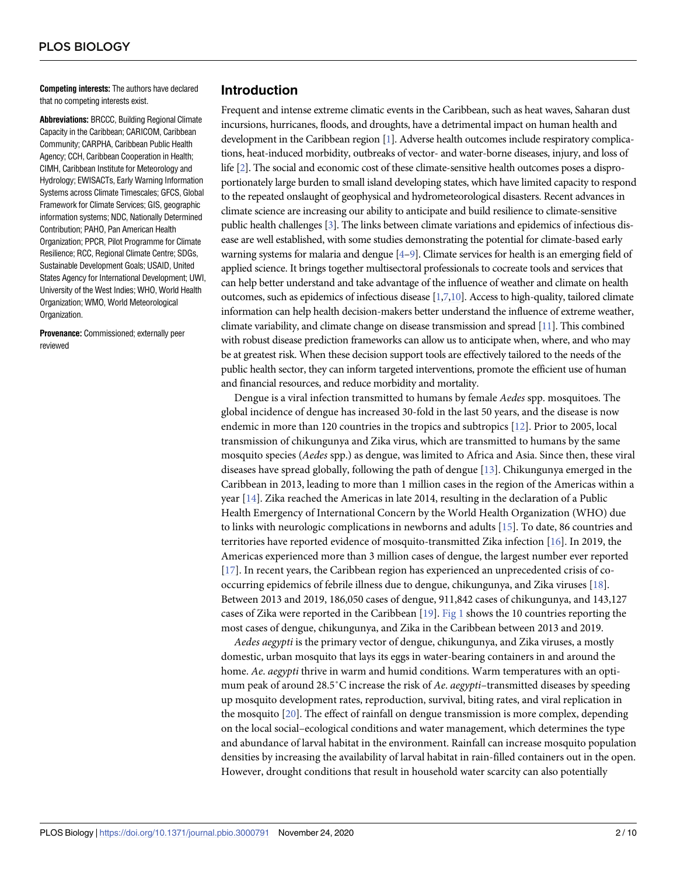<span id="page-1-0"></span>**Competing interests:** The authors have declared that no competing interests exist.

**Abbreviations:** BRCCC, Building Regional Climate Capacity in the Caribbean; CARICOM, Caribbean Community; CARPHA, Caribbean Public Health Agency; CCH, Caribbean Cooperation in Health; CIMH, Caribbean Institute for Meteorology and Hydrology; EWISACTs, Early Warning Information Systems across Climate Timescales; GFCS, Global Framework for Climate Services; GIS, geographic information systems; NDC, Nationally Determined Contribution; PAHO, Pan American Health Organization; PPCR, Pilot Programme for Climate Resilience; RCC, Regional Climate Centre; SDGs, Sustainable Development Goals; USAID, United States Agency for International Development; UWI, University of the West Indies; WHO, World Health Organization; WMO, World Meteorological Organization.

**Provenance:** Commissioned; externally peer reviewed

## **Introduction**

Frequent and intense extreme climatic events in the Caribbean, such as heat waves, Saharan dust incursions, hurricanes, floods, and droughts, have a detrimental impact on human health and development in the Caribbean region [\[1\]](#page-7-0). Adverse health outcomes include respiratory complications, heat-induced morbidity, outbreaks of vector- and water-borne diseases, injury, and loss of life [\[2\]](#page-7-0). The social and economic cost of these climate-sensitive health outcomes poses a disproportionately large burden to small island developing states, which have limited capacity to respond to the repeated onslaught of geophysical and hydrometeorological disasters. Recent advances in climate science are increasing our ability to anticipate and build resilience to climate-sensitive public health challenges [[3](#page-7-0)]. The links between climate variations and epidemics of infectious disease are well established, with some studies demonstrating the potential for climate-based early warning systems for malaria and dengue [\[4–](#page-7-0)[9](#page-8-0)]. Climate services for health is an emerging field of applied science. It brings together multisectoral professionals to cocreate tools and services that can help better understand and take advantage of the influence of weather and climate on health outcomes, such as epidemics of infectious disease  $[1,7,10]$  $[1,7,10]$ . Access to high-quality, tailored climate information can help health decision-makers better understand the influence of extreme weather, climate variability, and climate change on disease transmission and spread [\[11](#page-8-0)]. This combined with robust disease prediction frameworks can allow us to anticipate when, where, and who may be at greatest risk. When these decision support tools are effectively tailored to the needs of the public health sector, they can inform targeted interventions, promote the efficient use of human and financial resources, and reduce morbidity and mortality.

Dengue is a viral infection transmitted to humans by female *Aedes* spp. mosquitoes. The global incidence of dengue has increased 30-fold in the last 50 years, and the disease is now endemic in more than 120 countries in the tropics and subtropics [[12](#page-8-0)]. Prior to 2005, local transmission of chikungunya and Zika virus, which are transmitted to humans by the same mosquito species (*Aedes* spp.) as dengue, was limited to Africa and Asia. Since then, these viral diseases have spread globally, following the path of dengue [[13](#page-8-0)]. Chikungunya emerged in the Caribbean in 2013, leading to more than 1 million cases in the region of the Americas within a year [\[14\]](#page-8-0). Zika reached the Americas in late 2014, resulting in the declaration of a Public Health Emergency of International Concern by the World Health Organization (WHO) due to links with neurologic complications in newborns and adults [\[15\]](#page-8-0). To date, 86 countries and territories have reported evidence of mosquito-transmitted Zika infection [[16](#page-8-0)]. In 2019, the Americas experienced more than 3 million cases of dengue, the largest number ever reported [\[17\]](#page-8-0). In recent years, the Caribbean region has experienced an unprecedented crisis of cooccurring epidemics of febrile illness due to dengue, chikungunya, and Zika viruses [\[18\]](#page-8-0). Between 2013 and 2019, 186,050 cases of dengue, 911,842 cases of chikungunya, and 143,127 cases of Zika were reported in the Caribbean [[19](#page-8-0)]. [Fig](#page-2-0) 1 shows the 10 countries reporting the most cases of dengue, chikungunya, and Zika in the Caribbean between 2013 and 2019.

*Aedes aegypti* is the primary vector of dengue, chikungunya, and Zika viruses, a mostly domestic, urban mosquito that lays its eggs in water-bearing containers in and around the home. *Ae*. *aegypti* thrive in warm and humid conditions. Warm temperatures with an optimum peak of around 28.5˚C increase the risk of *Ae*. *aegypti*–transmitted diseases by speeding up mosquito development rates, reproduction, survival, biting rates, and viral replication in the mosquito [\[20\]](#page-8-0). The effect of rainfall on dengue transmission is more complex, depending on the local social–ecological conditions and water management, which determines the type and abundance of larval habitat in the environment. Rainfall can increase mosquito population densities by increasing the availability of larval habitat in rain-filled containers out in the open. However, drought conditions that result in household water scarcity can also potentially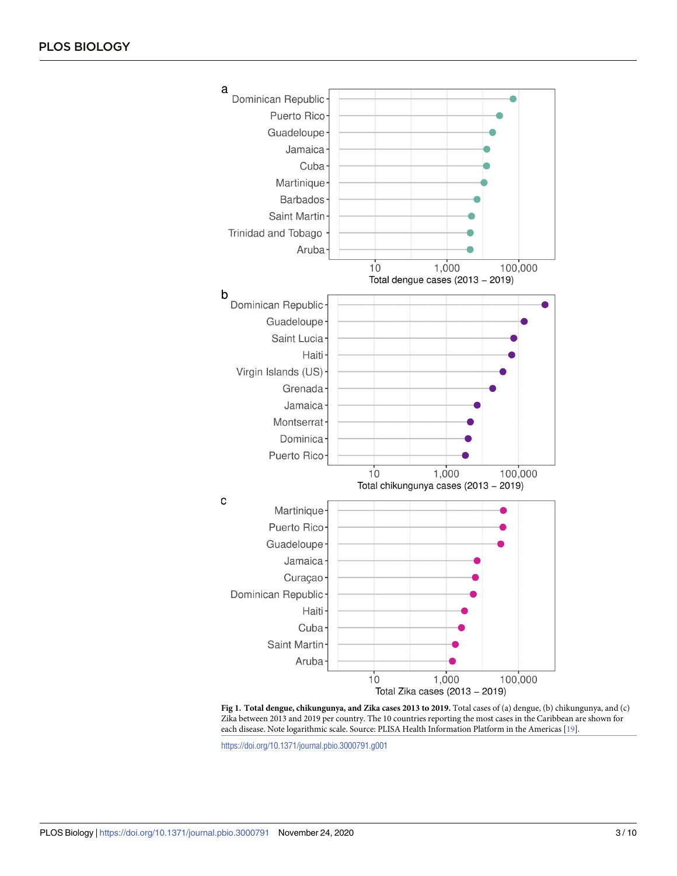<span id="page-2-0"></span>

**[Fig](#page-1-0) 1. Total dengue, chikungunya, and Zika cases 2013 to 2019.** Total cases of (a) dengue, (b) chikungunya, and (c) Zika between 2013 and 2019 per country. The 10 countries reporting the most cases in the Caribbean are shown for each disease. Note logarithmic scale. Source: PLISA Health Information Platform in the Americas [\[19](#page-8-0)].

<https://doi.org/10.1371/journal.pbio.3000791.g001>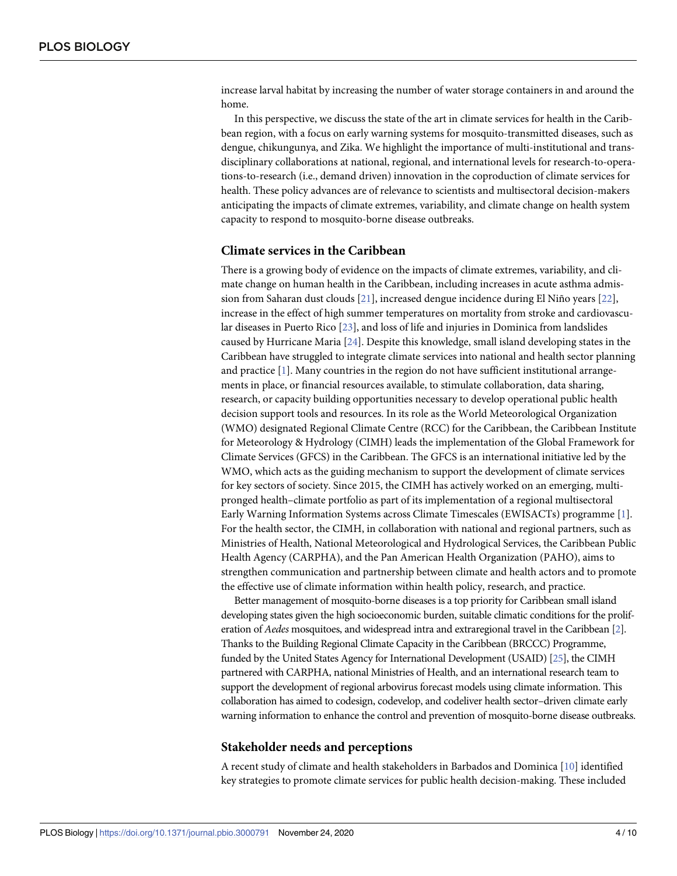<span id="page-3-0"></span>increase larval habitat by increasing the number of water storage containers in and around the home.

In this perspective, we discuss the state of the art in climate services for health in the Caribbean region, with a focus on early warning systems for mosquito-transmitted diseases, such as dengue, chikungunya, and Zika. We highlight the importance of multi-institutional and transdisciplinary collaborations at national, regional, and international levels for research-to-operations-to-research (i.e., demand driven) innovation in the coproduction of climate services for health. These policy advances are of relevance to scientists and multisectoral decision-makers anticipating the impacts of climate extremes, variability, and climate change on health system capacity to respond to mosquito-borne disease outbreaks.

#### **Climate services in the Caribbean**

There is a growing body of evidence on the impacts of climate extremes, variability, and climate change on human health in the Caribbean, including increases in acute asthma admission from Saharan dust clouds [\[21\]](#page-8-0), increased dengue incidence during El Niño years [\[22\]](#page-8-0), increase in the effect of high summer temperatures on mortality from stroke and cardiovascular diseases in Puerto Rico [[23](#page-8-0)], and loss of life and injuries in Dominica from landslides caused by Hurricane Maria [\[24\]](#page-8-0). Despite this knowledge, small island developing states in the Caribbean have struggled to integrate climate services into national and health sector planning and practice [\[1](#page-7-0)]. Many countries in the region do not have sufficient institutional arrangements in place, or financial resources available, to stimulate collaboration, data sharing, research, or capacity building opportunities necessary to develop operational public health decision support tools and resources. In its role as the World Meteorological Organization (WMO) designated Regional Climate Centre (RCC) for the Caribbean, the Caribbean Institute for Meteorology & Hydrology (CIMH) leads the implementation of the Global Framework for Climate Services (GFCS) in the Caribbean. The GFCS is an international initiative led by the WMO, which acts as the guiding mechanism to support the development of climate services for key sectors of society. Since 2015, the CIMH has actively worked on an emerging, multipronged health–climate portfolio as part of its implementation of a regional multisectoral Early Warning Information Systems across Climate Timescales (EWISACTs) programme [[1\]](#page-7-0). For the health sector, the CIMH, in collaboration with national and regional partners, such as Ministries of Health, National Meteorological and Hydrological Services, the Caribbean Public Health Agency (CARPHA), and the Pan American Health Organization (PAHO), aims to strengthen communication and partnership between climate and health actors and to promote the effective use of climate information within health policy, research, and practice.

Better management of mosquito-borne diseases is a top priority for Caribbean small island developing states given the high socioeconomic burden, suitable climatic conditions for the proliferation of *Aedes* mosquitoes, and widespread intra and extraregional travel in the Caribbean [[2](#page-7-0)]. Thanks to the Building Regional Climate Capacity in the Caribbean (BRCCC) Programme, funded by the United States Agency for International Development (USAID) [\[25](#page-8-0)], the CIMH partnered with CARPHA, national Ministries of Health, and an international research team to support the development of regional arbovirus forecast models using climate information. This collaboration has aimed to codesign, codevelop, and codeliver health sector–driven climate early warning information to enhance the control and prevention of mosquito-borne disease outbreaks.

#### **Stakeholder needs and perceptions**

A recent study of climate and health stakeholders in Barbados and Dominica [\[10\]](#page-8-0) identified key strategies to promote climate services for public health decision-making. These included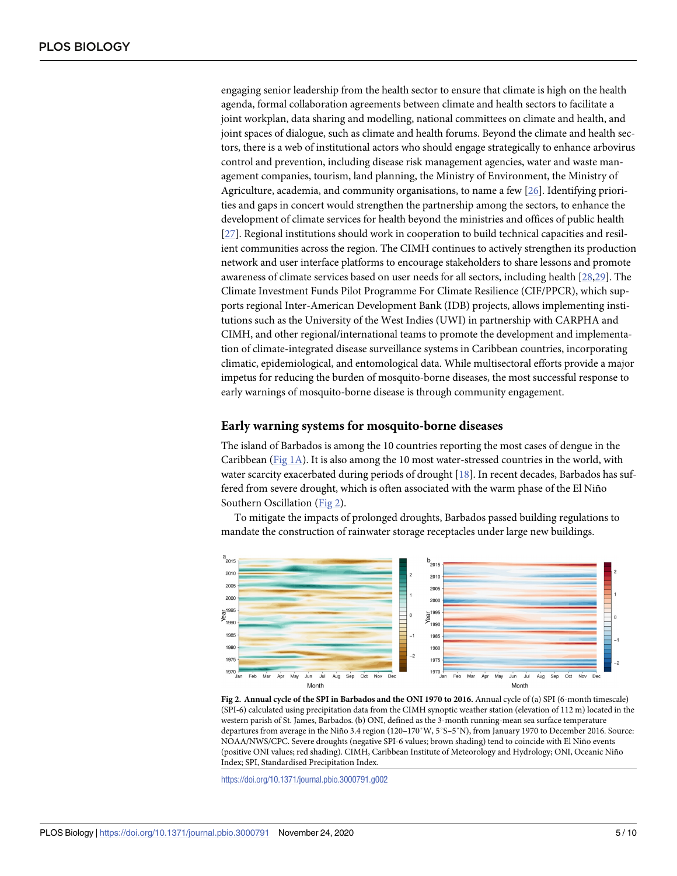<span id="page-4-0"></span>engaging senior leadership from the health sector to ensure that climate is high on the health agenda, formal collaboration agreements between climate and health sectors to facilitate a joint workplan, data sharing and modelling, national committees on climate and health, and joint spaces of dialogue, such as climate and health forums. Beyond the climate and health sectors, there is a web of institutional actors who should engage strategically to enhance arbovirus control and prevention, including disease risk management agencies, water and waste management companies, tourism, land planning, the Ministry of Environment, the Ministry of Agriculture, academia, and community organisations, to name a few [[26](#page-8-0)]. Identifying priorities and gaps in concert would strengthen the partnership among the sectors, to enhance the development of climate services for health beyond the ministries and offices of public health [\[27\]](#page-8-0). Regional institutions should work in cooperation to build technical capacities and resilient communities across the region. The CIMH continues to actively strengthen its production network and user interface platforms to encourage stakeholders to share lessons and promote awareness of climate services based on user needs for all sectors, including health [[28,29\]](#page-9-0). The Climate Investment Funds Pilot Programme For Climate Resilience (CIF/PPCR), which supports regional Inter-American Development Bank (IDB) projects, allows implementing institutions such as the University of the West Indies (UWI) in partnership with CARPHA and CIMH, and other regional/international teams to promote the development and implementation of climate-integrated disease surveillance systems in Caribbean countries, incorporating climatic, epidemiological, and entomological data. While multisectoral efforts provide a major impetus for reducing the burden of mosquito-borne diseases, the most successful response to early warnings of mosquito-borne disease is through community engagement.

#### **Early warning systems for mosquito-borne diseases**

The island of Barbados is among the 10 countries reporting the most cases of dengue in the Caribbean [\(Fig](#page-2-0) 1A). It is also among the 10 most water-stressed countries in the world, with water scarcity exacerbated during periods of drought [\[18\]](#page-8-0). In recent decades, Barbados has suffered from severe drought, which is often associated with the warm phase of the El Niño Southern Oscillation (Fig 2).

To mitigate the impacts of prolonged droughts, Barbados passed building regulations to mandate the construction of rainwater storage receptacles under large new buildings.



**Fig 2. Annual cycle of the SPI in Barbados and the ONI 1970 to 2016.** Annual cycle of (a) SPI (6-month timescale) (SPI-6) calculated using precipitation data from the CIMH synoptic weather station (elevation of 112 m) located in the western parish of St. James, Barbados. (b) ONI, defined as the 3-month running-mean sea surface temperature departures from average in the Niño 3.4 region (120–170˚W, 5˚S–5˚N), from January 1970 to December 2016. Source: NOAA/NWS/CPC. Severe droughts (negative SPI-6 values; brown shading) tend to coincide with El Niño events (positive ONI values; red shading). CIMH, Caribbean Institute of Meteorology and Hydrology; ONI, Oceanic Niño Index; SPI, Standardised Precipitation Index.

<https://doi.org/10.1371/journal.pbio.3000791.g002>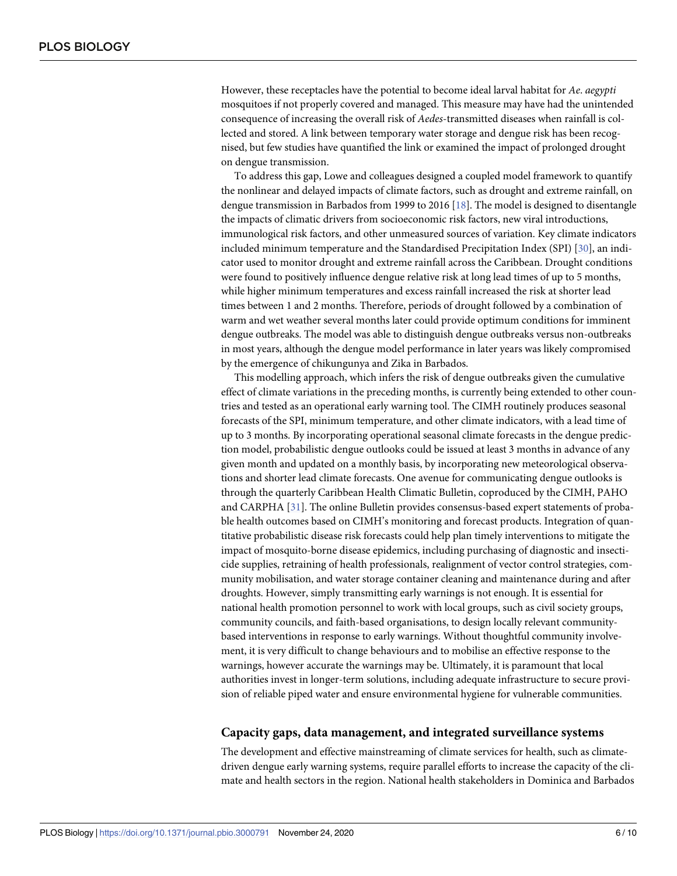<span id="page-5-0"></span>However, these receptacles have the potential to become ideal larval habitat for *Ae*. *aegypti* mosquitoes if not properly covered and managed. This measure may have had the unintended consequence of increasing the overall risk of *Aedes*-transmitted diseases when rainfall is collected and stored. A link between temporary water storage and dengue risk has been recognised, but few studies have quantified the link or examined the impact of prolonged drought on dengue transmission.

To address this gap, Lowe and colleagues designed a coupled model framework to quantify the nonlinear and delayed impacts of climate factors, such as drought and extreme rainfall, on dengue transmission in Barbados from 1999 to 2016 [\[18\]](#page-8-0). The model is designed to disentangle the impacts of climatic drivers from socioeconomic risk factors, new viral introductions, immunological risk factors, and other unmeasured sources of variation. Key climate indicators included minimum temperature and the Standardised Precipitation Index (SPI) [[30](#page-9-0)], an indicator used to monitor drought and extreme rainfall across the Caribbean. Drought conditions were found to positively influence dengue relative risk at long lead times of up to 5 months, while higher minimum temperatures and excess rainfall increased the risk at shorter lead times between 1 and 2 months. Therefore, periods of drought followed by a combination of warm and wet weather several months later could provide optimum conditions for imminent dengue outbreaks. The model was able to distinguish dengue outbreaks versus non-outbreaks in most years, although the dengue model performance in later years was likely compromised by the emergence of chikungunya and Zika in Barbados.

This modelling approach, which infers the risk of dengue outbreaks given the cumulative effect of climate variations in the preceding months, is currently being extended to other countries and tested as an operational early warning tool. The CIMH routinely produces seasonal forecasts of the SPI, minimum temperature, and other climate indicators, with a lead time of up to 3 months. By incorporating operational seasonal climate forecasts in the dengue prediction model, probabilistic dengue outlooks could be issued at least 3 months in advance of any given month and updated on a monthly basis, by incorporating new meteorological observations and shorter lead climate forecasts. One avenue for communicating dengue outlooks is through the quarterly Caribbean Health Climatic Bulletin, coproduced by the CIMH, PAHO and CARPHA [[31](#page-9-0)]. The online Bulletin provides consensus-based expert statements of probable health outcomes based on CIMH's monitoring and forecast products. Integration of quantitative probabilistic disease risk forecasts could help plan timely interventions to mitigate the impact of mosquito-borne disease epidemics, including purchasing of diagnostic and insecticide supplies, retraining of health professionals, realignment of vector control strategies, community mobilisation, and water storage container cleaning and maintenance during and after droughts. However, simply transmitting early warnings is not enough. It is essential for national health promotion personnel to work with local groups, such as civil society groups, community councils, and faith-based organisations, to design locally relevant communitybased interventions in response to early warnings. Without thoughtful community involvement, it is very difficult to change behaviours and to mobilise an effective response to the warnings, however accurate the warnings may be. Ultimately, it is paramount that local authorities invest in longer-term solutions, including adequate infrastructure to secure provision of reliable piped water and ensure environmental hygiene for vulnerable communities.

#### **Capacity gaps, data management, and integrated surveillance systems**

The development and effective mainstreaming of climate services for health, such as climatedriven dengue early warning systems, require parallel efforts to increase the capacity of the climate and health sectors in the region. National health stakeholders in Dominica and Barbados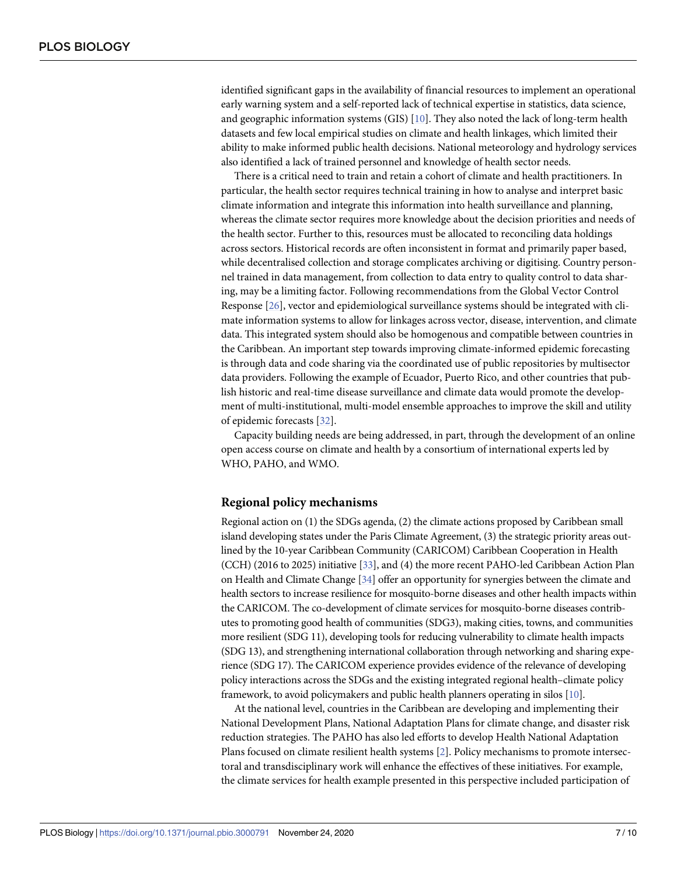<span id="page-6-0"></span>identified significant gaps in the availability of financial resources to implement an operational early warning system and a self-reported lack of technical expertise in statistics, data science, and geographic information systems (GIS) [[10](#page-8-0)]. They also noted the lack of long-term health datasets and few local empirical studies on climate and health linkages, which limited their ability to make informed public health decisions. National meteorology and hydrology services also identified a lack of trained personnel and knowledge of health sector needs.

There is a critical need to train and retain a cohort of climate and health practitioners. In particular, the health sector requires technical training in how to analyse and interpret basic climate information and integrate this information into health surveillance and planning, whereas the climate sector requires more knowledge about the decision priorities and needs of the health sector. Further to this, resources must be allocated to reconciling data holdings across sectors. Historical records are often inconsistent in format and primarily paper based, while decentralised collection and storage complicates archiving or digitising. Country personnel trained in data management, from collection to data entry to quality control to data sharing, may be a limiting factor. Following recommendations from the Global Vector Control Response [\[26\]](#page-8-0), vector and epidemiological surveillance systems should be integrated with climate information systems to allow for linkages across vector, disease, intervention, and climate data. This integrated system should also be homogenous and compatible between countries in the Caribbean. An important step towards improving climate-informed epidemic forecasting is through data and code sharing via the coordinated use of public repositories by multisector data providers. Following the example of Ecuador, Puerto Rico, and other countries that publish historic and real-time disease surveillance and climate data would promote the development of multi-institutional, multi-model ensemble approaches to improve the skill and utility of epidemic forecasts [\[32\]](#page-9-0).

Capacity building needs are being addressed, in part, through the development of an online open access course on climate and health by a consortium of international experts led by WHO, PAHO, and WMO.

### **Regional policy mechanisms**

Regional action on (1) the SDGs agenda, (2) the climate actions proposed by Caribbean small island developing states under the Paris Climate Agreement, (3) the strategic priority areas outlined by the 10-year Caribbean Community (CARICOM) Caribbean Cooperation in Health (CCH) (2016 to 2025) initiative [\[33](#page-9-0)], and (4) the more recent PAHO-led Caribbean Action Plan on Health and Climate Change [\[34\]](#page-9-0) offer an opportunity for synergies between the climate and health sectors to increase resilience for mosquito-borne diseases and other health impacts within the CARICOM. The co-development of climate services for mosquito-borne diseases contributes to promoting good health of communities (SDG3), making cities, towns, and communities more resilient (SDG 11), developing tools for reducing vulnerability to climate health impacts (SDG 13), and strengthening international collaboration through networking and sharing experience (SDG 17). The CARICOM experience provides evidence of the relevance of developing policy interactions across the SDGs and the existing integrated regional health–climate policy framework, to avoid policymakers and public health planners operating in silos [\[10\]](#page-8-0).

At the national level, countries in the Caribbean are developing and implementing their National Development Plans, National Adaptation Plans for climate change, and disaster risk reduction strategies. The PAHO has also led efforts to develop Health National Adaptation Plans focused on climate resilient health systems [\[2\]](#page-7-0). Policy mechanisms to promote intersectoral and transdisciplinary work will enhance the effectives of these initiatives. For example, the climate services for health example presented in this perspective included participation of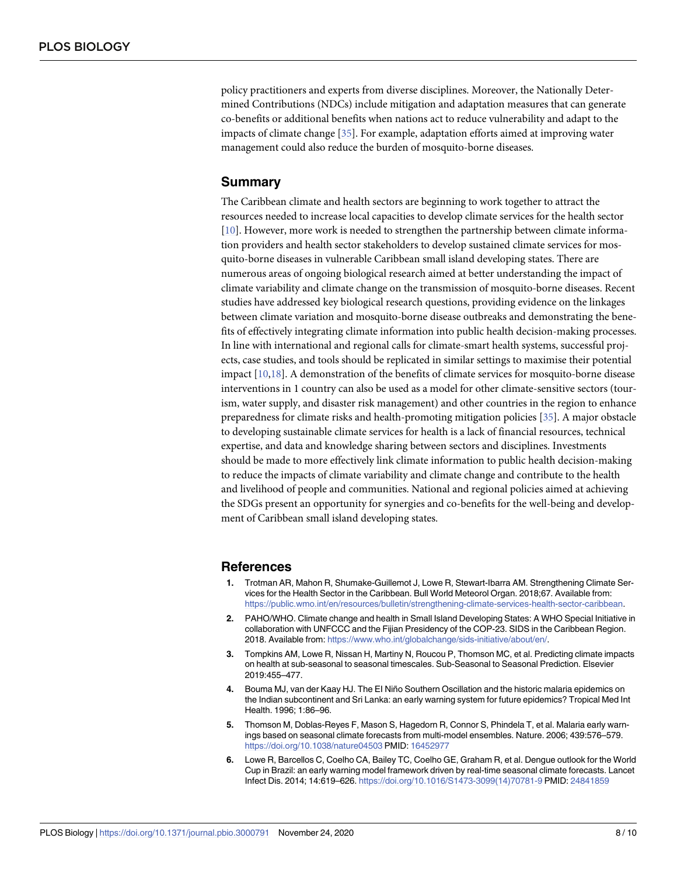<span id="page-7-0"></span>policy practitioners and experts from diverse disciplines. Moreover, the Nationally Determined Contributions (NDCs) include mitigation and adaptation measures that can generate co-benefits or additional benefits when nations act to reduce vulnerability and adapt to the impacts of climate change [[35](#page-9-0)]. For example, adaptation efforts aimed at improving water management could also reduce the burden of mosquito-borne diseases.

# **Summary**

The Caribbean climate and health sectors are beginning to work together to attract the resources needed to increase local capacities to develop climate services for the health sector [\[10\]](#page-8-0). However, more work is needed to strengthen the partnership between climate information providers and health sector stakeholders to develop sustained climate services for mosquito-borne diseases in vulnerable Caribbean small island developing states. There are numerous areas of ongoing biological research aimed at better understanding the impact of climate variability and climate change on the transmission of mosquito-borne diseases. Recent studies have addressed key biological research questions, providing evidence on the linkages between climate variation and mosquito-borne disease outbreaks and demonstrating the benefits of effectively integrating climate information into public health decision-making processes. In line with international and regional calls for climate-smart health systems, successful projects, case studies, and tools should be replicated in similar settings to maximise their potential impact [\[10,18](#page-8-0)]. A demonstration of the benefits of climate services for mosquito-borne disease interventions in 1 country can also be used as a model for other climate-sensitive sectors (tourism, water supply, and disaster risk management) and other countries in the region to enhance preparedness for climate risks and health-promoting mitigation policies [\[35\]](#page-9-0). A major obstacle to developing sustainable climate services for health is a lack of financial resources, technical expertise, and data and knowledge sharing between sectors and disciplines. Investments should be made to more effectively link climate information to public health decision-making to reduce the impacts of climate variability and climate change and contribute to the health and livelihood of people and communities. National and regional policies aimed at achieving the SDGs present an opportunity for synergies and co-benefits for the well-being and development of Caribbean small island developing states.

## **References**

- **[1](#page-1-0).** Trotman AR, Mahon R, Shumake-Guillemot J, Lowe R, Stewart-Ibarra AM. Strengthening Climate Services for the Health Sector in the Caribbean. Bull World Meteorol Organ. 2018;67. Available from: <https://public.wmo.int/en/resources/bulletin/strengthening-climate-services-health-sector-caribbean>.
- **[2](#page-1-0).** PAHO/WHO. Climate change and health in Small Island Developing States: A WHO Special Initiative in collaboration with UNFCCC and the Fijian Presidency of the COP-23. SIDS in the Caribbean Region. 2018. Available from: [https://www.who.int/globalchange/sids-initiative/about/en/.](https://www.who.int/globalchange/sids-initiative/about/en/)
- **[3](#page-1-0).** Tompkins AM, Lowe R, Nissan H, Martiny N, Roucou P, Thomson MC, et al. Predicting climate impacts on health at sub-seasonal to seasonal timescales. Sub-Seasonal to Seasonal Prediction. Elsevier 2019:455–477.
- **[4](#page-1-0).** Bouma MJ, van der Kaay HJ. The EI Niño Southern Oscillation and the historic malaria epidemics on the Indian subcontinent and Sri Lanka: an early warning system for future epidemics? Tropical Med Int Health. 1996; 1:86–96.
- **5.** Thomson M, Doblas-Reyes F, Mason S, Hagedorn R, Connor S, Phindela T, et al. Malaria early warnings based on seasonal climate forecasts from multi-model ensembles. Nature. 2006; 439:576–579. <https://doi.org/10.1038/nature04503> PMID: [16452977](http://www.ncbi.nlm.nih.gov/pubmed/16452977)
- **6.** Lowe R, Barcellos C, Coelho CA, Bailey TC, Coelho GE, Graham R, et al. Dengue outlook for the World Cup in Brazil: an early warning model framework driven by real-time seasonal climate forecasts. Lancet Infect Dis. 2014; 14:619–626. [https://doi.org/10.1016/S1473-3099\(14\)70781-9](https://doi.org/10.1016/S1473-3099%2814%2970781-9) PMID: [24841859](http://www.ncbi.nlm.nih.gov/pubmed/24841859)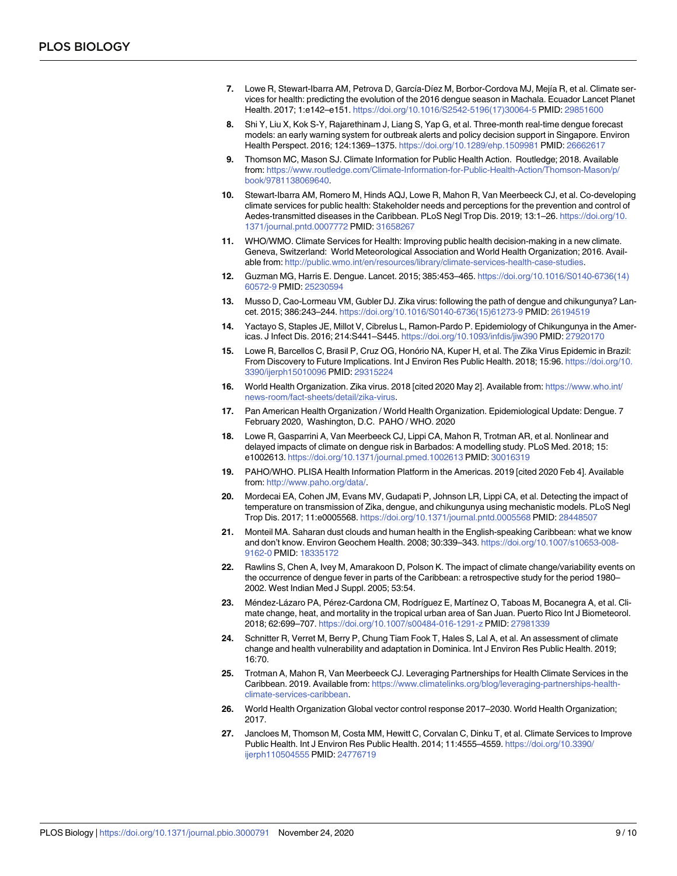- <span id="page-8-0"></span>**[7](#page-1-0).** Lowe R, Stewart-Ibarra AM, Petrova D, García-Díez M, Borbor-Cordova MJ, Mejía R, et al. Climate services for health: predicting the evolution of the 2016 dengue season in Machala. Ecuador Lancet Planet Health. 2017; 1:e142–e151. [https://doi.org/10.1016/S2542-5196\(17\)30064-5](https://doi.org/10.1016/S2542-5196%2817%2930064-5) PMID: [29851600](http://www.ncbi.nlm.nih.gov/pubmed/29851600)
- **8.** Shi Y, Liu X, Kok S-Y, Rajarethinam J, Liang S, Yap G, et al. Three-month real-time dengue forecast models: an early warning system for outbreak alerts and policy decision support in Singapore. Environ Health Perspect. 2016; 124:1369–1375. <https://doi.org/10.1289/ehp.1509981> PMID: [26662617](http://www.ncbi.nlm.nih.gov/pubmed/26662617)
- **[9](#page-1-0).** Thomson MC, Mason SJ. Climate Information for Public Health Action. Routledge; 2018. Available from: [https://www.routledge.com/Climate-Information-for-Public-Health-Action/Thomson-Mason/p/](https://www.routledge.com/Climate-Information-for-Public-Health-Action/Thomson-Mason/p/book/9781138069640) [book/9781138069640](https://www.routledge.com/Climate-Information-for-Public-Health-Action/Thomson-Mason/p/book/9781138069640).
- **[10](#page-1-0).** Stewart-Ibarra AM, Romero M, Hinds AQJ, Lowe R, Mahon R, Van Meerbeeck CJ, et al. Co-developing climate services for public health: Stakeholder needs and perceptions for the prevention and control of Aedes-transmitted diseases in the Caribbean. PLoS Negl Trop Dis. 2019; 13:1–26. [https://doi.org/10.](https://doi.org/10.1371/journal.pntd.0007772) [1371/journal.pntd.0007772](https://doi.org/10.1371/journal.pntd.0007772) PMID: [31658267](http://www.ncbi.nlm.nih.gov/pubmed/31658267)
- **[11](#page-1-0).** WHO/WMO. Climate Services for Health: Improving public health decision-making in a new climate. Geneva, Switzerland: World Meteorological Association and World Health Organization; 2016. Available from: [http://public.wmo.int/en/resources/library/climate-services-health-case-studies.](http://public.wmo.int/en/resources/library/climate-services-health-case-studies)
- **[12](#page-1-0).** Guzman MG, Harris E. Dengue. Lancet. 2015; 385:453–465. [https://doi.org/10.1016/S0140-6736\(14\)](https://doi.org/10.1016/S0140-6736%2814%2960572-9) [60572-9](https://doi.org/10.1016/S0140-6736%2814%2960572-9) PMID: [25230594](http://www.ncbi.nlm.nih.gov/pubmed/25230594)
- **[13](#page-1-0).** Musso D, Cao-Lormeau VM, Gubler DJ. Zika virus: following the path of dengue and chikungunya? Lancet. 2015; 386:243–244. [https://doi.org/10.1016/S0140-6736\(15\)61273-9](https://doi.org/10.1016/S0140-6736%2815%2961273-9) PMID: [26194519](http://www.ncbi.nlm.nih.gov/pubmed/26194519)
- **[14](#page-1-0).** Yactayo S, Staples JE, Millot V, Cibrelus L, Ramon-Pardo P. Epidemiology of Chikungunya in the Americas. J Infect Dis. 2016; 214:S441–S445. <https://doi.org/10.1093/infdis/jiw390> PMID: [27920170](http://www.ncbi.nlm.nih.gov/pubmed/27920170)
- **[15](#page-1-0).** Lowe R, Barcellos C, Brasil P, Cruz OG, Honório NA, Kuper H, et al. The Zika Virus Epidemic in Brazil: From Discovery to Future Implications. Int J Environ Res Public Health. 2018; 15:96. [https://doi.org/10.](https://doi.org/10.3390/ijerph15010096) [3390/ijerph15010096](https://doi.org/10.3390/ijerph15010096) PMID: [29315224](http://www.ncbi.nlm.nih.gov/pubmed/29315224)
- **[16](#page-1-0).** World Health Organization. Zika virus. 2018 [cited 2020 May 2]. Available from: [https://www.who.int/](https://www.who.int/news-room/fact-sheets/detail/zika-virus) [news-room/fact-sheets/detail/zika-virus](https://www.who.int/news-room/fact-sheets/detail/zika-virus).
- **[17](#page-1-0).** Pan American Health Organization / World Health Organization. Epidemiological Update: Dengue. 7 February 2020, Washington, D.C. PAHO / WHO. 2020
- **[18](#page-1-0).** Lowe R, Gasparrini A, Van Meerbeeck CJ, Lippi CA, Mahon R, Trotman AR, et al. Nonlinear and delayed impacts of climate on dengue risk in Barbados: A modelling study. PLoS Med. 2018; 15: e1002613. <https://doi.org/10.1371/journal.pmed.1002613> PMID: [30016319](http://www.ncbi.nlm.nih.gov/pubmed/30016319)
- **[19](#page-1-0).** PAHO/WHO. PLISA Health Information Platform in the Americas. 2019 [cited 2020 Feb 4]. Available from: [http://www.paho.org/data/.](http://www.paho.org/data/)
- **[20](#page-1-0).** Mordecai EA, Cohen JM, Evans MV, Gudapati P, Johnson LR, Lippi CA, et al. Detecting the impact of temperature on transmission of Zika, dengue, and chikungunya using mechanistic models. PLoS Negl Trop Dis. 2017; 11:e0005568. <https://doi.org/10.1371/journal.pntd.0005568> PMID: [28448507](http://www.ncbi.nlm.nih.gov/pubmed/28448507)
- **[21](#page-3-0).** Monteil MA. Saharan dust clouds and human health in the English-speaking Caribbean: what we know and don't know. Environ Geochem Health. 2008; 30:339–343. [https://doi.org/10.1007/s10653-008-](https://doi.org/10.1007/s10653-008-9162-0) [9162-0](https://doi.org/10.1007/s10653-008-9162-0) PMID: [18335172](http://www.ncbi.nlm.nih.gov/pubmed/18335172)
- **[22](#page-3-0).** Rawlins S, Chen A, Ivey M, Amarakoon D, Polson K. The impact of climate change/variability events on the occurrence of dengue fever in parts of the Caribbean: a retrospective study for the period 1980– 2002. West Indian Med J Suppl. 2005; 53:54.
- [23](#page-3-0). Méndez-Lázaro PA, Pérez-Cardona CM, Rodríguez E, Martínez O, Taboas M, Bocanegra A, et al. Climate change, heat, and mortality in the tropical urban area of San Juan. Puerto Rico Int J Biometeorol. 2018; 62:699–707. <https://doi.org/10.1007/s00484-016-1291-z> PMID: [27981339](http://www.ncbi.nlm.nih.gov/pubmed/27981339)
- **[24](#page-3-0).** Schnitter R, Verret M, Berry P, Chung Tiam Fook T, Hales S, Lal A, et al. An assessment of climate change and health vulnerability and adaptation in Dominica. Int J Environ Res Public Health. 2019; 16:70.
- **[25](#page-3-0).** Trotman A, Mahon R, Van Meerbeeck CJ. Leveraging Partnerships for Health Climate Services in the Caribbean. 2019. Available from: [https://www.climatelinks.org/blog/leveraging-partnerships-health](https://www.climatelinks.org/blog/leveraging-partnerships-health-climate-services-caribbean)[climate-services-caribbean.](https://www.climatelinks.org/blog/leveraging-partnerships-health-climate-services-caribbean)
- **[26](#page-4-0).** World Health Organization Global vector control response 2017–2030. World Health Organization; 2017.
- **[27](#page-4-0).** Jancloes M, Thomson M, Costa MM, Hewitt C, Corvalan C, Dinku T, et al. Climate Services to Improve Public Health. Int J Environ Res Public Health. 2014; 11:4555–4559. [https://doi.org/10.3390/](https://doi.org/10.3390/ijerph110504555) [ijerph110504555](https://doi.org/10.3390/ijerph110504555) PMID: [24776719](http://www.ncbi.nlm.nih.gov/pubmed/24776719)